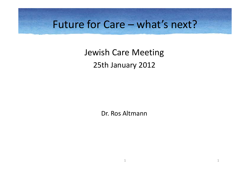### Future for Care – what's next?

Jewish Care Meeting 25th January 2012

Dr. Ros Altmann

1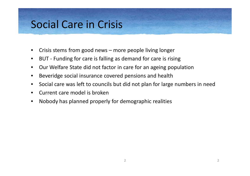### Social Care in Crisis

- Crisis stems from good news more people living longer
- BUT Funding for care is falling as demand for care is rising
- Our Welfare State did not factor in care for an ageing population
- Beveridge social insurance covered pensions and health
- Social care was left to councils but did not plan for large numbers in need
- Current care model is broken
- Nobody has planned properly for demographic realities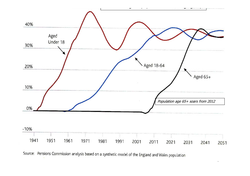

 $\overline{a}$ 

Source: Pensions Commission analysis based on a synthetic model of the England and Wales population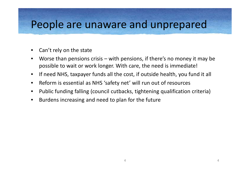#### People are unaware and unprepared

- Can't rely on the state
- Worse than pensions crisis with pensions, if there's no money it may be possible to wait or work longer. With care, the need is immediate!
- If need NHS, taxpayer funds all the cost, if outside health, you fund it all
- Reform is essential as NHS 'safety net' will run out of resources
- Public funding falling (council cutbacks, tightening qualification criteria)
- Burdens increasing and need to plan for the future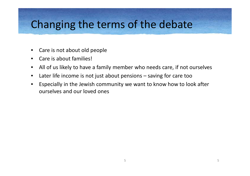### Changing the terms of the debate

- Care is not about old people
- Care is about families!
- All of us likely to have a family member who needs care, if not ourselves
- Later life income is not just about pensions saving for care too
- Especially in the Jewish community we want to know how to look after ourselves and our loved ones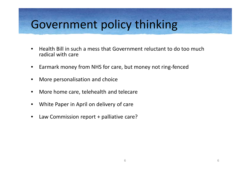# Government policy thinking

- Health Bill in such a mess that Government reluctant to do too much radical with care
- Earmark money from NHS for care, but money not ring-fenced
- More personalisation and choice
- More home care, telehealth and telecare
- White Paper in April on delivery of care
- Law Commission report + palliative care?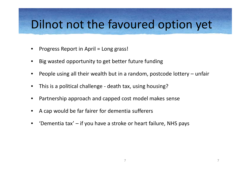## Dilnot not the favoured option yet

- Progress Report in April = Long grass!
- Big wasted opportunity to get better future funding
- People using all their wealth but in a random, postcode lottery unfair
- This is a political challenge death tax, using housing?
- Partnership approach and capped cost model makes sense
- A cap would be far fairer for dementia sufferers
- 'Dementia tax' if you have a stroke or heart failure, NHS pays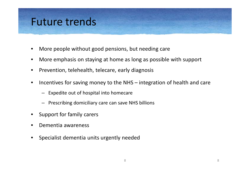### Future trends

- More people without good pensions, but needing care
- More emphasis on staying at home as long as possible with support
- Prevention, telehealth, telecare, early diagnosis
- Incentives for saving money to the NHS integration of health and care
	- Expedite out of hospital into homecare
	- Prescribing domiciliary care can save NHS billions
- Support for family carers
- Dementia awareness
- Specialist dementia units urgently needed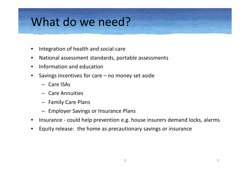# What do we need?

- Integration of health and social care
- National assessment standards, portable assessments
- Information and education
- Savings incentives for care no money set aside
	- Care ISAs
	- Care Annuities
	- Family Care Plans
	- Employer Savings or Insurance Plans
- Insurance could help prevention e.g. house insurers demand locks, alarms
- Equity release: the home as precautionary savings or insurance